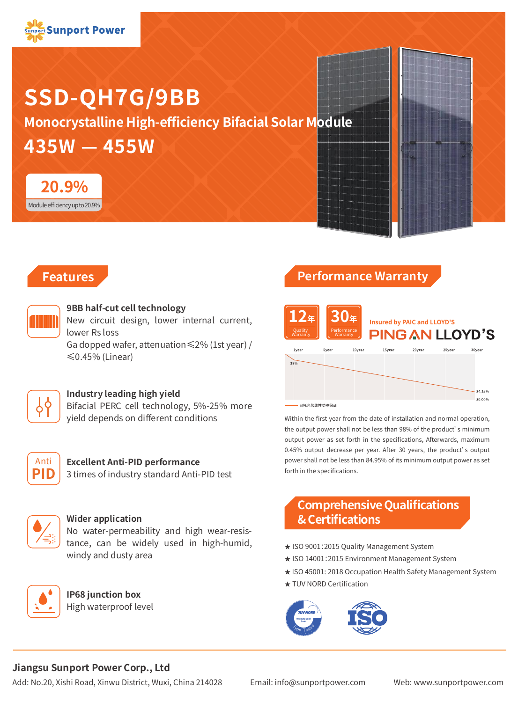

# **SSD-QH7G/9BB**

**435W — 455W Monocrystalline High-efficiency Bifacial Solar Module**



## **Features**



#### **9BB half-cut cell technology**

New circuit design, lower internal current, lower Rs loss Ga dopped wafer, attenuation≤2% (1st year) / ≤0.45% (Linear)



#### **Industry leading high yield**

Bifacial PERC cell technology, 5%-25% more yield depends on different conditions



#### **Excellent Anti-PID performance**

3 times of industry standard Anti-PID test



#### **Wider application**

**IP68 junction box** High waterproof level

No water-permeability and high wear-resistance, can be widely used in high-humid, windy and dusty area

# **Performance Warranty**



Within the first year from the date of installation and normal operation, the output power shall not be less than 98% of the product's minimum output power as set forth in the specifications, Afterwards, maximum 0.45% output decrease per year. After 30 years, the product's output power shall not be less than 84.95% of its minimum output power as set forth in the specifications.

# **Comprehensive Qualifications & Certifications**

- ★ ISO 9001:2015 Quality Management System
- ★ ISO 14001:2015 Environment Management System
- ★ ISO 45001: 2018 Occupation Health Safety Management System
- ★ TUV NORD Certification



#### **Jiangsu Sunport Power Corp., Ltd**

Add: No.20, Xishi Road, Xinwu District, Wuxi, China 214028 Email: info@sunportpower.com Web: www.sunportpower.com